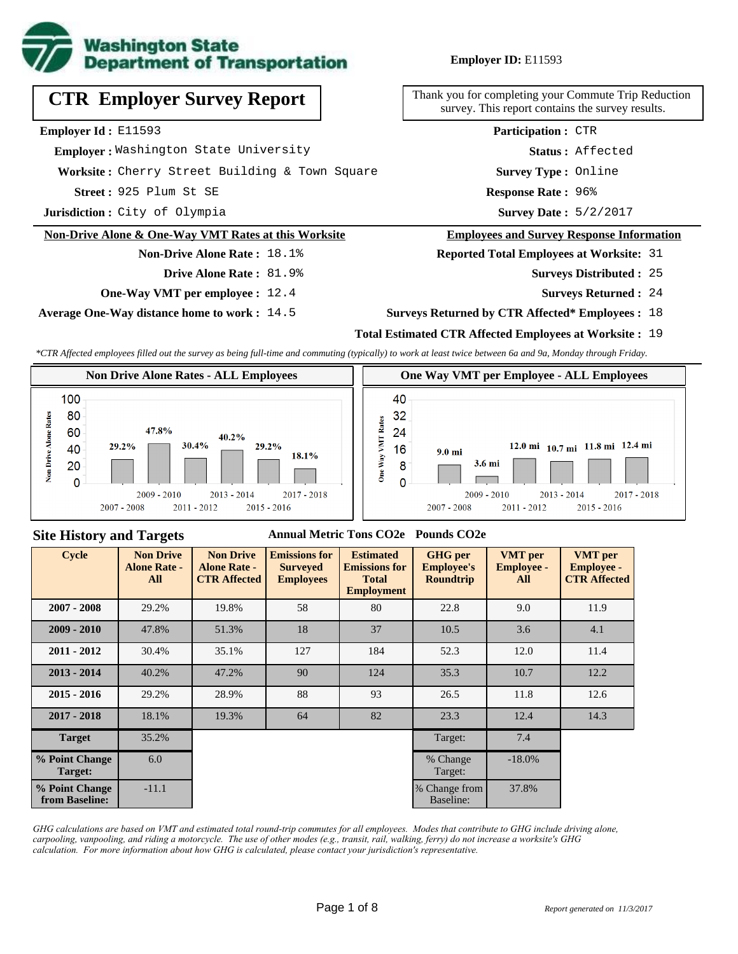

## **Employer ID:** E11593

**CTR Employer Survey Report**

**Employer Id :** E11593

 **Employer :** Washington State University

**Worksite :** Cherry Street Building & Town Square

**Street :** 925 Plum St SE **Response Rate :** 

**Jurisdiction :** City of Olympia

#### **Non-Drive Alone & One-Way VMT Rates at this Worksite**

**Non-Drive Alone Rate :** 18.1% **Drive Alone Rate :** 81.9%

**One-Way VMT per employee :** 12.4

**Average One-Way distance home to work :** 14.5

**Status :** Affected **Participation :** CTR

Thank you for completing your Commute Trip Reduction survey. This report contains the survey results.

**Survey Type :** Online

Response Rate: 96%

Survey Date: 5/2/2017

#### **Employees and Survey Response Information**

**Reported Total Employees at Worksite:** 31

- 25 **Surveys Distributed :**
	- **Surveys Returned :** 24

#### **Surveys Returned by CTR Affected\* Employees :** 18

### **Total Estimated CTR Affected Employees at Worksite :** 19

*\*CTR Affected employees filled out the survey as being full-time and commuting (typically) to work at least twice between 6a and 9a, Monday through Friday.*



#### **Site History and Targets**

#### **Annual Metric Tons CO2e Pounds CO2e**

| Cycle                            | <b>Non Drive</b><br><b>Alone Rate -</b><br>All | <b>Non Drive</b><br><b>Alone Rate -</b><br><b>CTR Affected</b> | <b>Emissions for</b><br><b>Surveyed</b><br><b>Employees</b> | <b>Estimated</b><br><b>Emissions for</b><br><b>Total</b><br><b>Employment</b> | <b>GHG</b> per<br><b>Employee's</b><br><b>Roundtrip</b> | <b>VMT</b> per<br><b>Employee -</b><br>All | <b>VMT</b> per<br><b>Employee -</b><br><b>CTR Affected</b> |
|----------------------------------|------------------------------------------------|----------------------------------------------------------------|-------------------------------------------------------------|-------------------------------------------------------------------------------|---------------------------------------------------------|--------------------------------------------|------------------------------------------------------------|
| $2007 - 2008$                    | 29.2%                                          | 19.8%                                                          | 58                                                          | 80                                                                            | 22.8                                                    | 9.0                                        | 11.9                                                       |
| $2009 - 2010$                    | 47.8%                                          | 51.3%                                                          | 18<br>37                                                    |                                                                               | 10.5                                                    | 3.6                                        | 4.1                                                        |
| $2011 - 2012$                    | 30.4%                                          | 35.1%                                                          | 127                                                         | 184                                                                           | 52.3                                                    | 12.0                                       | 11.4                                                       |
| $2013 - 2014$                    | 40.2%                                          | 47.2%                                                          | 90                                                          | 124                                                                           | 35.3                                                    |                                            | 12.2                                                       |
| $2015 - 2016$                    | 29.2%                                          | 28.9%                                                          | 88                                                          | 93                                                                            | 26.5                                                    |                                            | 12.6                                                       |
| $2017 - 2018$                    | 18.1%                                          | 19.3%                                                          | 64                                                          | 82                                                                            | 23.3                                                    | 12.4                                       | 14.3                                                       |
| <b>Target</b>                    | 35.2%                                          |                                                                |                                                             |                                                                               | Target:                                                 | 7.4                                        |                                                            |
| % Point Change<br><b>Target:</b> | 6.0                                            |                                                                |                                                             |                                                                               | % Change<br>Target:                                     | $-18.0\%$                                  |                                                            |
| % Point Change<br>from Baseline: | $-11.1$                                        |                                                                |                                                             |                                                                               | % Change from<br>Baseline:                              | 37.8%                                      |                                                            |

*GHG calculations are based on VMT and estimated total round-trip commutes for all employees. Modes that contribute to GHG include driving alone, carpooling, vanpooling, and riding a motorcycle. The use of other modes (e.g., transit, rail, walking, ferry) do not increase a worksite's GHG calculation. For more information about how GHG is calculated, please contact your jurisdiction's representative.*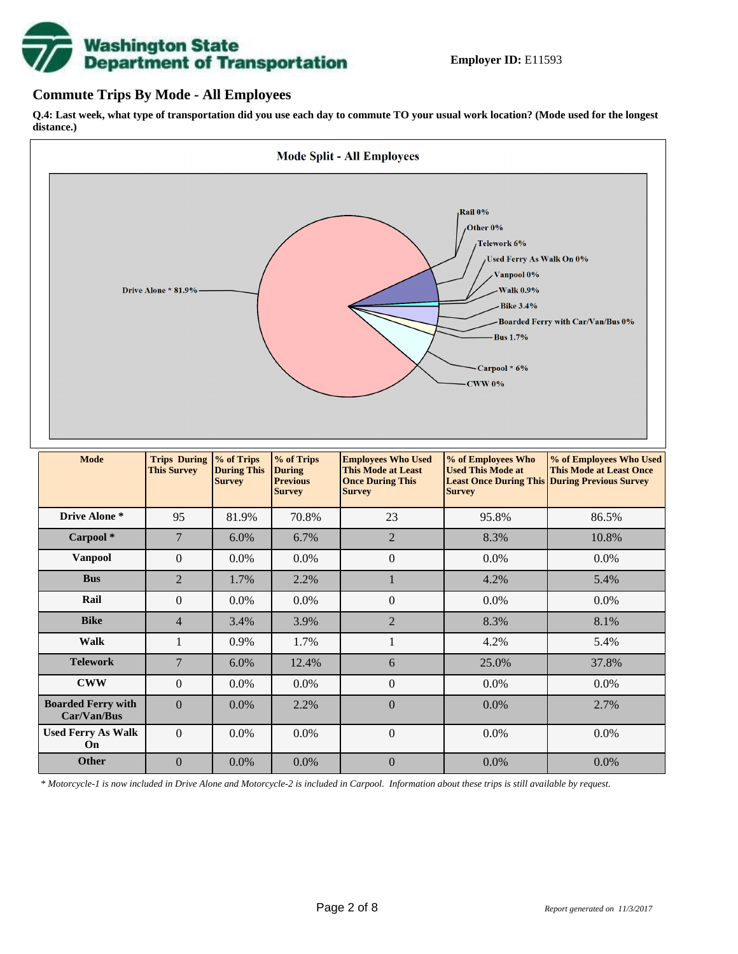# **Washington State<br>Department of Transportation**

## **Commute Trips By Mode - All Employees**

**Q.4: Last week, what type of transportation did you use each day to commute TO your usual work location? (Mode used for the longest distance.)**



|                                          | I his Survey    | <b>During I his</b><br><b>Survey</b> | <i><u><b>During</b></u></i><br><b>Previous</b><br><b>Survey</b> | This Mode at Least<br><b>Once During This</b><br><b>Survey</b> | Used This Mode at<br><b>Survey</b> | This Mode at Least Once<br><b>Least Once During This During Previous Survey</b> |
|------------------------------------------|-----------------|--------------------------------------|-----------------------------------------------------------------|----------------------------------------------------------------|------------------------------------|---------------------------------------------------------------------------------|
| Drive Alone *                            | 95              | 81.9%                                | 70.8%                                                           | 23                                                             | 95.8%                              | 86.5%                                                                           |
| Carpool <sup>*</sup>                     | $7\phantom{.0}$ | $6.0\%$                              | 6.7%                                                            | $\overline{2}$                                                 | 8.3%                               | 10.8%                                                                           |
| Vanpool                                  | $\overline{0}$  | $0.0\%$                              | $0.0\%$                                                         | $\boldsymbol{0}$                                               | 0.0%                               | $0.0\%$                                                                         |
| <b>Bus</b>                               | $\overline{2}$  | 1.7%                                 | 2.2%                                                            |                                                                | 4.2%                               | 5.4%                                                                            |
| Rail                                     | $\overline{0}$  | $0.0\%$                              | $0.0\%$                                                         | $\boldsymbol{0}$                                               | 0.0%                               | 0.0%                                                                            |
| <b>Bike</b>                              | $\overline{4}$  | 3.4%                                 | 3.9%                                                            | $\overline{2}$                                                 | 8.3%                               | 8.1%                                                                            |
| <b>Walk</b>                              | 1               | 0.9%                                 | 1.7%                                                            | 1                                                              | 4.2%                               | 5.4%                                                                            |
| <b>Telework</b>                          | 7               | 6.0%                                 | 12.4%                                                           | 6                                                              | 25.0%                              | 37.8%                                                                           |
| <b>CWW</b>                               | $\theta$        | $0.0\%$                              | $0.0\%$                                                         | $\overline{0}$                                                 | 0.0%                               | $0.0\%$                                                                         |
| <b>Boarded Ferry with</b><br>Car/Van/Bus | $\theta$        | $0.0\%$                              | 2.2%                                                            | $\boldsymbol{0}$                                               | 0.0%                               | 2.7%                                                                            |
| <b>Used Ferry As Walk</b><br>On          | $\Omega$        | $0.0\%$                              | $0.0\%$                                                         | $\boldsymbol{0}$                                               | $0.0\%$                            | 0.0%                                                                            |
| <b>Other</b>                             | $\Omega$        | $0.0\%$                              | $0.0\%$                                                         | $\overline{0}$                                                 | $0.0\%$                            | $0.0\%$                                                                         |

*\* Motorcycle-1 is now included in Drive Alone and Motorcycle-2 is included in Carpool. Information about these trips is still available by request.*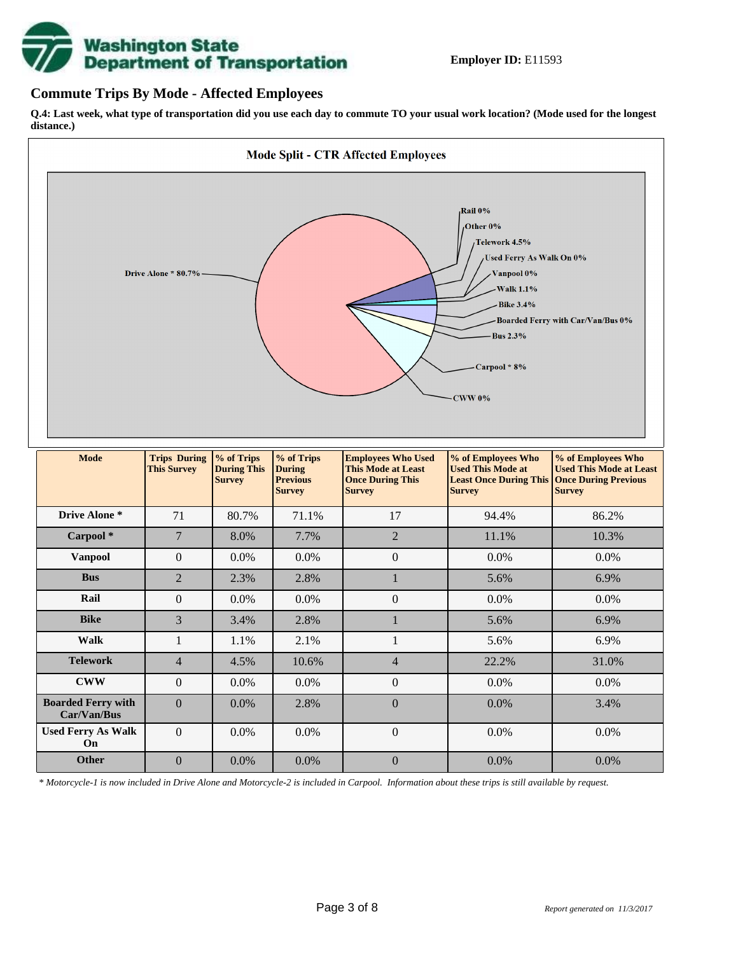

## **Commute Trips By Mode - Affected Employees**

**Q.4: Last week, what type of transportation did you use each day to commute TO your usual work location? (Mode used for the longest distance.)**



*\* Motorcycle-1 is now included in Drive Alone and Motorcycle-2 is included in Carpool. Information about these trips is still available by request.*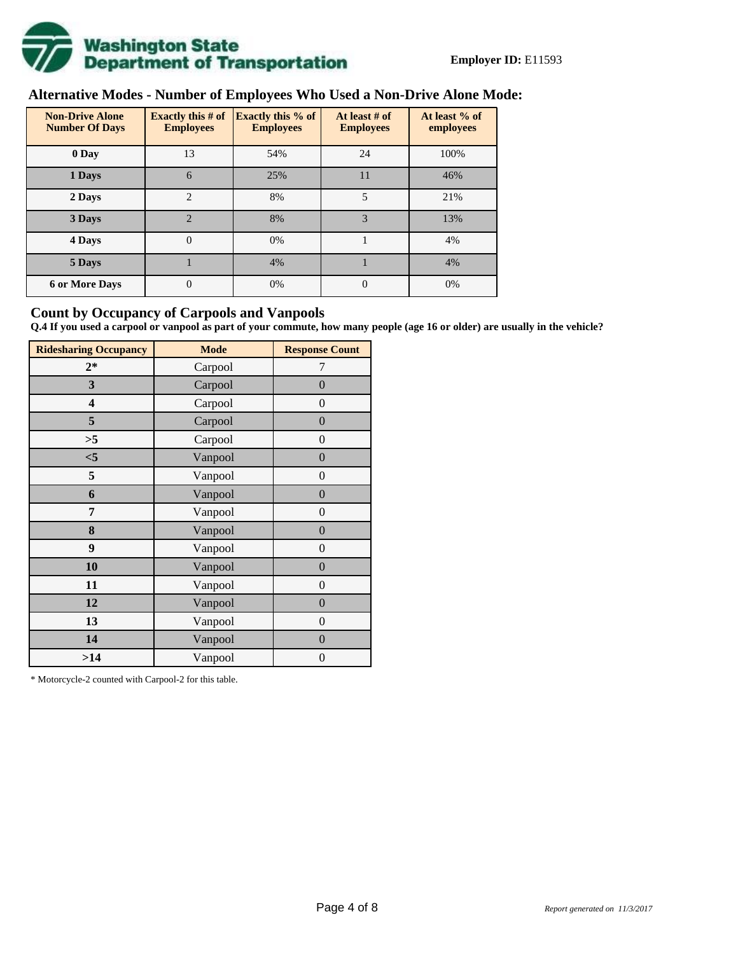

# **Alternative Modes - Number of Employees Who Used a Non-Drive Alone Mode:**

| <b>Non-Drive Alone</b><br><b>Number Of Days</b> | <b>Exactly this # of</b><br><b>Employees</b> | <b>Exactly this % of</b><br><b>Employees</b> | At least # of<br><b>Employees</b> | At least % of<br>employees |  |
|-------------------------------------------------|----------------------------------------------|----------------------------------------------|-----------------------------------|----------------------------|--|
| 0 Day                                           | 13                                           | 54%                                          | 24                                | 100%                       |  |
| 1 Days                                          | 6                                            | 25%                                          | 11                                | 46%                        |  |
| 2 Days                                          | $\overline{c}$                               | 8%                                           | 5                                 | 21%                        |  |
| 3 Days                                          | $\overline{2}$                               | 8%                                           | 3                                 | 13%                        |  |
| 4 Days                                          | $\Omega$                                     | 0%                                           |                                   | 4%                         |  |
| 5 Days                                          |                                              | 4%                                           |                                   | 4%                         |  |
| <b>6 or More Days</b>                           | $\theta$                                     | 0%                                           | $\Omega$                          | 0%                         |  |

## **Count by Occupancy of Carpools and Vanpools**

**Q.4 If you used a carpool or vanpool as part of your commute, how many people (age 16 or older) are usually in the vehicle?**

| <b>Ridesharing Occupancy</b> | <b>Mode</b> | <b>Response Count</b> |
|------------------------------|-------------|-----------------------|
| $2*$                         | Carpool     | 7                     |
| 3                            | Carpool     | $\boldsymbol{0}$      |
| 4                            | Carpool     | $\theta$              |
| 5                            | Carpool     | $\overline{0}$        |
| >5                           | Carpool     | $\overline{0}$        |
| $<$ 5                        | Vanpool     | $\overline{0}$        |
| 5                            | Vanpool     | $\overline{0}$        |
| 6                            | Vanpool     | $\boldsymbol{0}$      |
| 7                            | Vanpool     | $\overline{0}$        |
| 8                            | Vanpool     | $\overline{0}$        |
| 9                            | Vanpool     | $\overline{0}$        |
| 10                           | Vanpool     | $\overline{0}$        |
| 11                           | Vanpool     | $\overline{0}$        |
| 12                           | Vanpool     | $\boldsymbol{0}$      |
| 13                           | Vanpool     | $\boldsymbol{0}$      |
| 14                           | Vanpool     | $\overline{0}$        |
| >14                          | Vanpool     | $\boldsymbol{0}$      |

\* Motorcycle-2 counted with Carpool-2 for this table.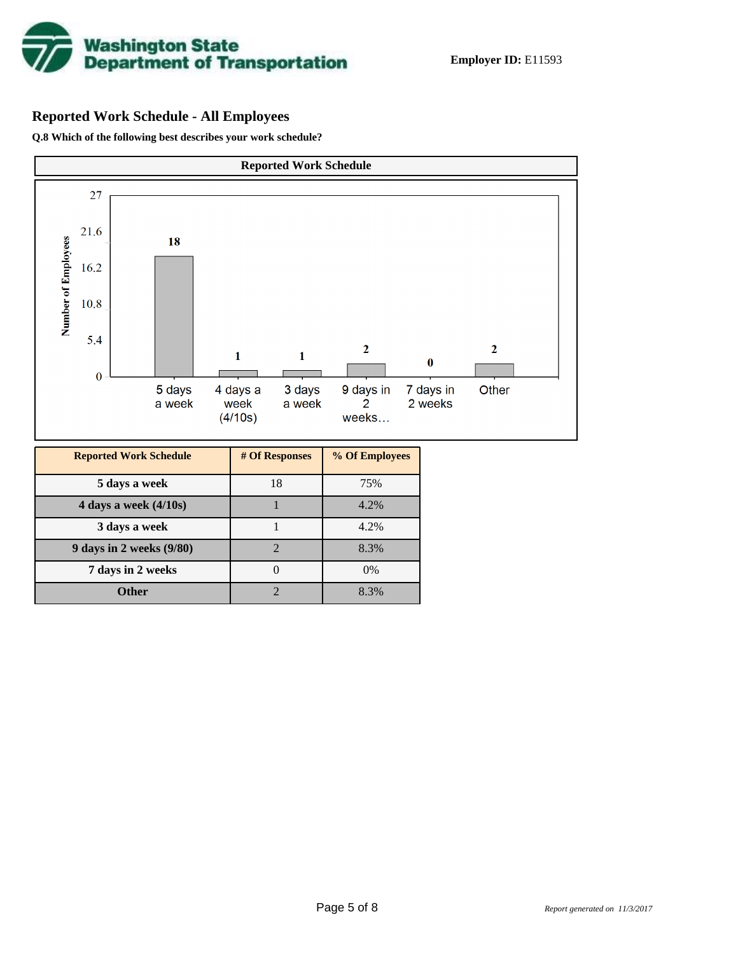

# **Reported Work Schedule - All Employees**

**Q.8 Which of the following best describes your work schedule?**

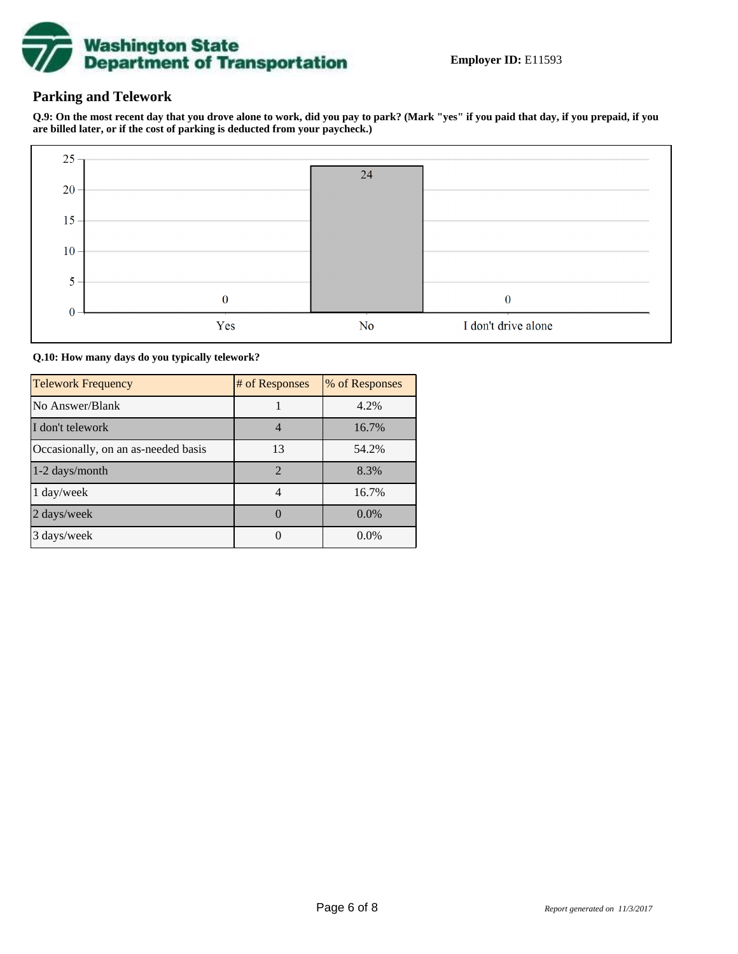

# **Parking and Telework**

**Q.9: On the most recent day that you drove alone to work, did you pay to park? (Mark "yes" if you paid that day, if you prepaid, if you are billed later, or if the cost of parking is deducted from your paycheck.)**



**Q.10: How many days do you typically telework?**

| <b>Telework Frequency</b>           | # of Responses | % of Responses |
|-------------------------------------|----------------|----------------|
| No Answer/Blank                     |                | 4.2%           |
| I don't telework                    |                | 16.7%          |
| Occasionally, on an as-needed basis | 13             | 54.2%          |
| 1-2 days/month                      | $\mathcal{D}$  | 8.3%           |
| 1 day/week                          |                | 16.7%          |
| 2 days/week                         |                | 0.0%           |
| 3 days/week                         |                | $0.0\%$        |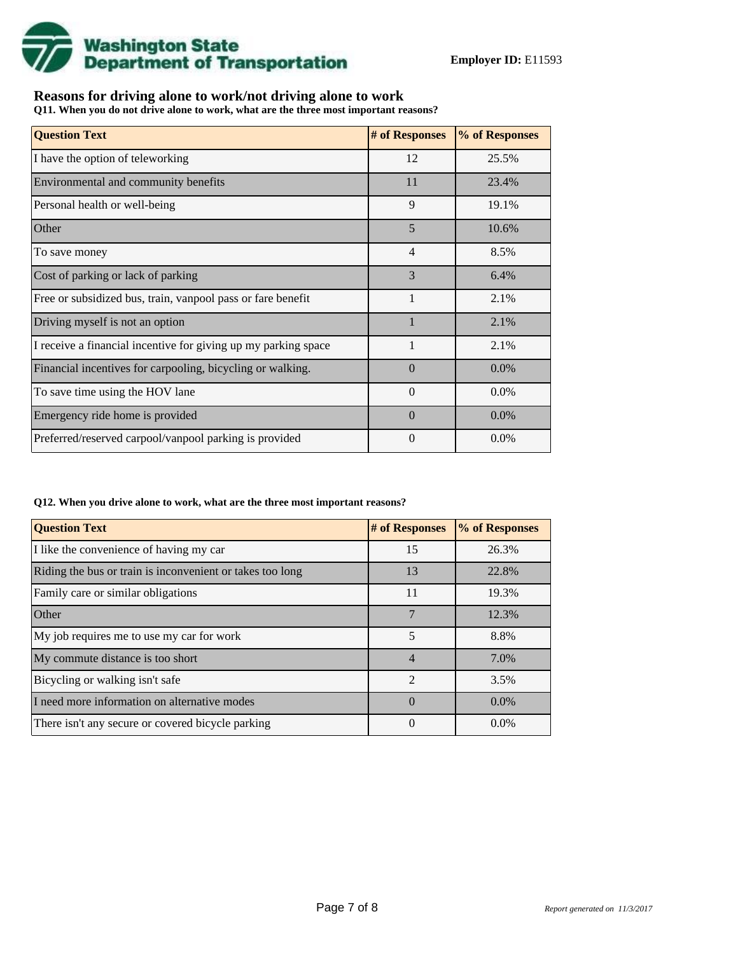

# **Reasons for driving alone to work/not driving alone to work**

**Q11. When you do not drive alone to work, what are the three most important reasons?**

| <b>Question Text</b>                                           | # of Responses | % of Responses |
|----------------------------------------------------------------|----------------|----------------|
| I have the option of teleworking                               | 12             | 25.5%          |
| Environmental and community benefits                           | 11             | 23.4%          |
| Personal health or well-being                                  | 9              | 19.1%          |
| Other                                                          | 5              | 10.6%          |
| To save money                                                  | $\overline{4}$ | 8.5%           |
| Cost of parking or lack of parking                             | 3              | 6.4%           |
| Free or subsidized bus, train, vanpool pass or fare benefit    | 1              | 2.1%           |
| Driving myself is not an option                                |                | 2.1%           |
| I receive a financial incentive for giving up my parking space | $\mathbf{1}$   | 2.1%           |
| Financial incentives for carpooling, bicycling or walking.     | $\Omega$       | $0.0\%$        |
| To save time using the HOV lane                                | $\Omega$       | 0.0%           |
| Emergency ride home is provided                                | $\Omega$       | 0.0%           |
| Preferred/reserved carpool/vanpool parking is provided         | $\Omega$       | $0.0\%$        |

#### **Q12. When you drive alone to work, what are the three most important reasons?**

| <b>Question Text</b>                                      | # of Responses | % of Responses |
|-----------------------------------------------------------|----------------|----------------|
| I like the convenience of having my car                   | 15             | 26.3%          |
| Riding the bus or train is inconvenient or takes too long | 13             | 22.8%          |
| Family care or similar obligations                        | 11             | 19.3%          |
| <b>Other</b>                                              | 7              | 12.3%          |
| My job requires me to use my car for work                 | 5              | 8.8%           |
| My commute distance is too short                          | $\overline{4}$ | 7.0%           |
| Bicycling or walking isn't safe                           | $\mathfrak{D}$ | 3.5%           |
| I need more information on alternative modes              | $\Omega$       | $0.0\%$        |
| There isn't any secure or covered bicycle parking         | 0              | $0.0\%$        |